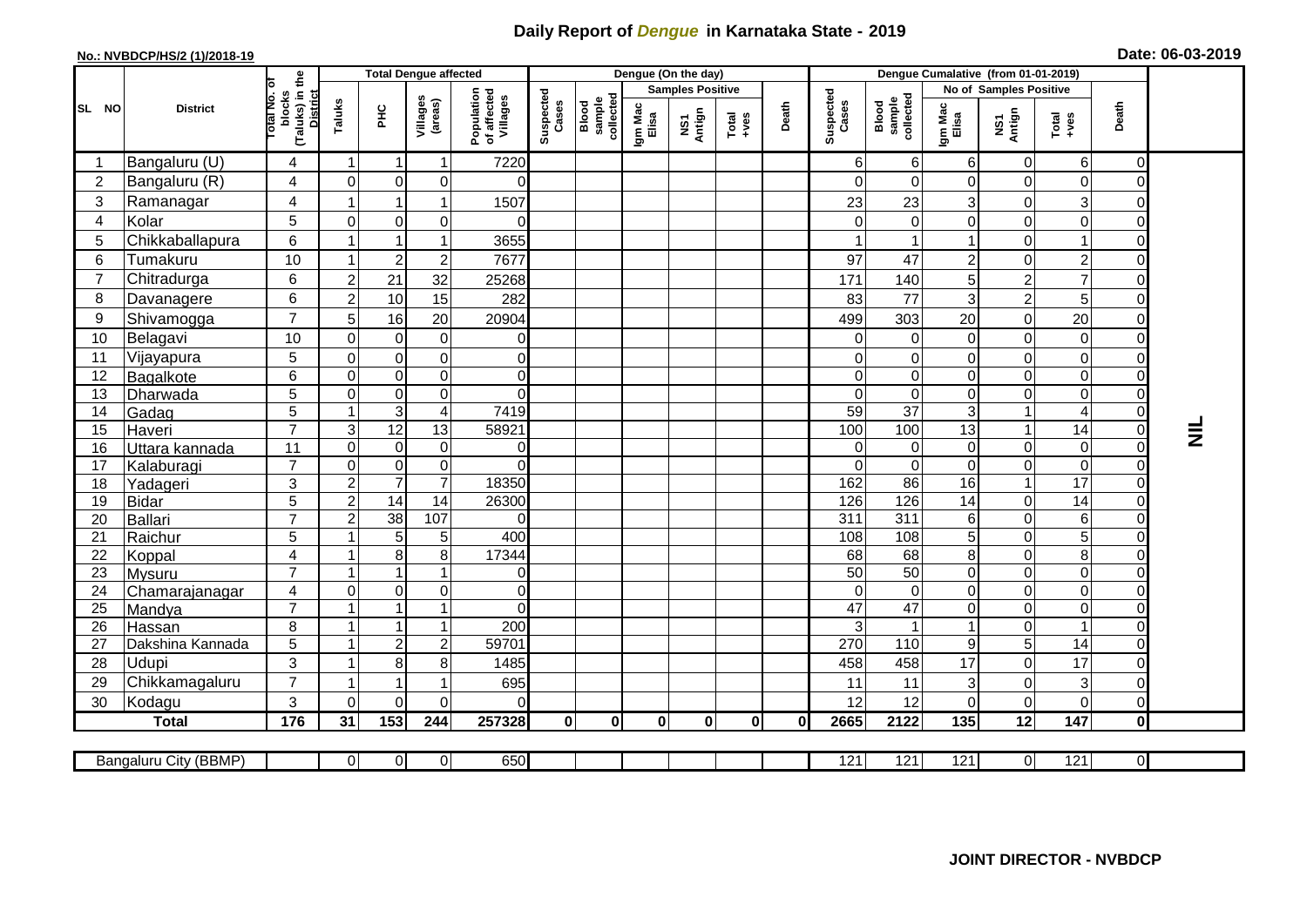## **Daily Report of** *Dengue* **in Karnataka State - 2019**

## **No.: NVBDCP/HS/2 (1)/2018-19 Date: 06-03-2019**

|                                                                                                                            | <b>District</b>  |                                                              | <b>Total Dengue affected</b> |                 |                     |                                       |                    |                              |                         | Dengue (On the day) |               |              |                    |                              |                  |                               |                  |                         |                 |
|----------------------------------------------------------------------------------------------------------------------------|------------------|--------------------------------------------------------------|------------------------------|-----------------|---------------------|---------------------------------------|--------------------|------------------------------|-------------------------|---------------------|---------------|--------------|--------------------|------------------------------|------------------|-------------------------------|------------------|-------------------------|-----------------|
| SL NO                                                                                                                      |                  | (Taluks) in the<br>Total No. of<br><b>District</b><br>blocks |                              |                 |                     |                                       |                    | sample<br>collected<br>Blood | <b>Samples Positive</b> |                     |               |              |                    |                              |                  | <b>No of Samples Positive</b> |                  |                         |                 |
|                                                                                                                            |                  |                                                              | Taluks                       | ÈС              | Villages<br>(areas) | Population<br>of affected<br>Villages | Suspected<br>Cases |                              | Igm Mac<br>Elisa        | NS1<br>Antign       | Total<br>+ves | Death        | Suspected<br>Cases | Blood<br>sample<br>collected | Igm Mac<br>Elisa | NS1<br>Antign                 | $Tota$<br>$+ves$ | Death                   |                 |
|                                                                                                                            | Bangaluru (U)    | 4                                                            | $\overline{1}$               | -1              | -1                  | 7220                                  |                    |                              |                         |                     |               |              | 6                  | 6                            | 6                | 0                             | $6\phantom{.}6$  | 0                       |                 |
| $\overline{2}$                                                                                                             | Bangaluru (R)    | 4                                                            | $\Omega$                     | $\Omega$        | $\Omega$            | $\Omega$                              |                    |                              |                         |                     |               |              | 0                  | $\Omega$                     | $\Omega$         | $\Omega$                      | $\mathbf 0$      | $\overline{0}$          |                 |
| 3                                                                                                                          | Ramanagar        | 4                                                            |                              | 1               |                     | 1507                                  |                    |                              |                         |                     |               |              | 23                 | 23                           | 3                | $\Omega$                      | $\mathbf{3}$     | 0                       |                 |
| $\overline{4}$                                                                                                             | Kolar            | 5                                                            | $\overline{0}$               | 0               | 0                   | 0                                     |                    |                              |                         |                     |               |              | 0                  | 0                            | $\mathbf 0$      | $\Omega$                      | 0                | $\mathbf 0$             |                 |
| 5                                                                                                                          | Chikkaballapura  | 6                                                            | 1                            |                 |                     | 3655                                  |                    |                              |                         |                     |               |              |                    |                              |                  | $\Omega$                      |                  | $\overline{0}$          |                 |
| 6                                                                                                                          | Tumakuru         | 10                                                           | 1                            | $\overline{c}$  | $\boldsymbol{2}$    | 7677                                  |                    |                              |                         |                     |               |              | 97                 | 47                           | $\overline{c}$   | $\Omega$                      | $\overline{2}$   | 0                       |                 |
| $\overline{7}$                                                                                                             | Chitradurga      | $6\phantom{1}$                                               | $\overline{a}$               | 21              | 32                  | 25268                                 |                    |                              |                         |                     |               |              | 171                | 140                          | 5                | $\overline{2}$                | $\overline{7}$   | $\overline{0}$          |                 |
| 8                                                                                                                          | Davanagere       | 6                                                            | $\overline{a}$               | 10              | 15                  | 282                                   |                    |                              |                         |                     |               |              | 83                 | 77                           | 3                | $\overline{c}$                | 5                | 0                       |                 |
| 9                                                                                                                          | Shivamogga       | $\overline{7}$                                               | 5 <sup>1</sup>               | 16              | 20                  | 20904                                 |                    |                              |                         |                     |               |              | 499                | 303                          | 20               | $\Omega$                      | 20               | 0                       |                 |
| 10                                                                                                                         | Belagavi         | 10                                                           | $\Omega$                     | $\Omega$        | $\Omega$            | 0                                     |                    |                              |                         |                     |               |              | $\Omega$           | $\Omega$                     | $\Omega$         | $\Omega$                      | $\Omega$         | 0                       |                 |
| 11                                                                                                                         | Vijayapura       | $\sqrt{5}$                                                   | $\overline{0}$               | 0               | $\pmb{0}$           | 0                                     |                    |                              |                         |                     |               |              | 0                  | 0                            | 0                | $\Omega$                      | $\mathbf 0$      | 0                       |                 |
| 12                                                                                                                         | Bagalkote        | 6                                                            | $\Omega$                     | $\Omega$        | $\mathbf 0$         | 0                                     |                    |                              |                         |                     |               |              | 0                  | $\Omega$                     | $\mathbf 0$      | $\Omega$                      | $\mathbf 0$      | $\overline{0}$          |                 |
| 13                                                                                                                         | Dharwada         | $\overline{5}$                                               | $\overline{0}$               | $\mathbf 0$     | $\pmb{0}$           | 0                                     |                    |                              |                         |                     |               |              | 0                  | $\pmb{0}$                    | $\pmb{0}$        | $\mathbf 0$                   | $\mathbf 0$      | $\mathsf{O}\xspace$     |                 |
| 14                                                                                                                         | Gadag            | $\overline{5}$                                               | $\overline{\mathbf{1}}$      | 3               | $\overline{4}$      | 7419                                  |                    |                              |                         |                     |               |              | 59                 | $\overline{37}$              | $\sqrt{3}$       | $\overline{\phantom{a}}$      | $\overline{4}$   | $\overline{0}$          |                 |
| 15                                                                                                                         | Haveri           | $\overline{7}$                                               | $\overline{3}$               | 12              | 13                  | 58921                                 |                    |                              |                         |                     |               |              | 100                | 100                          | 13               | 1                             | 14               | $\mathsf{O}\xspace$     | $\vec{\bar{z}}$ |
| 16                                                                                                                         | Uttara kannada   | 11                                                           | $\Omega$                     | $\Omega$        | $\mathbf 0$         | 0                                     |                    |                              |                         |                     |               |              | 0                  | $\mathbf 0$                  | 0                | $\Omega$                      | $\pmb{0}$        | $\overline{\mathsf{o}}$ |                 |
| 17                                                                                                                         | Kalaburagi       | $\overline{7}$                                               | $\Omega$                     | $\Omega$        | $\mathbf 0$         | $\Omega$                              |                    |                              |                         |                     |               |              | $\Omega$           | $\mathbf 0$                  | $\Omega$         | $\Omega$                      | $\mathbf 0$      | $\overline{0}$          |                 |
| 18                                                                                                                         | Yadageri         | 3                                                            | $\overline{a}$               | $\overline{7}$  | $\overline{7}$      | 18350                                 |                    |                              |                         |                     |               |              | 162                | 86                           | 16               | $\overline{\phantom{a}}$      | $\overline{17}$  | $\mathbf 0$             |                 |
| 19                                                                                                                         | <b>Bidar</b>     | 5                                                            | $\overline{2}$               | $\overline{14}$ | 14                  | 26300                                 |                    |                              |                         |                     |               |              | 126                | 126                          | 14               | $\mathbf 0$                   | 14               | 0                       |                 |
| 20                                                                                                                         | Ballari          | $\overline{7}$                                               | $\overline{2}$               | 38              | 107                 | $\Omega$                              |                    |                              |                         |                     |               |              | $\overline{311}$   | 311                          | 6                | $\Omega$                      | $\,6$            | 0                       |                 |
| 21                                                                                                                         | Raichur          | $\overline{5}$                                               |                              | 5               | 5                   | 400                                   |                    |                              |                         |                     |               |              | 108                | 108                          | 5                | $\Omega$                      | 5                | $\mathbf 0$             |                 |
| 22                                                                                                                         | Koppal           | 4                                                            | -1                           | 8               | 8                   | 17344                                 |                    |                              |                         |                     |               |              | 68                 | 68                           | $\,8\,$          | $\Omega$                      | 8                | $\overline{0}$          |                 |
| 23                                                                                                                         | <b>Mysuru</b>    | $\overline{7}$                                               | 1                            | 1               | $\mathbf{1}$        | 0                                     |                    |                              |                         |                     |               |              | 50                 | 50                           | $\mathbf 0$      | $\Omega$                      | $\mathbf 0$      | $\overline{0}$          |                 |
| 24                                                                                                                         | Chamarajanagar   | $\overline{\mathbf{4}}$                                      | $\Omega$                     | 0               | $\mathbf 0$         | 0                                     |                    |                              |                         |                     |               |              | 0                  | $\mathbf 0$                  | $\mathbf 0$      | $\mathbf 0$                   | $\mathbf 0$      | $\overline{0}$          |                 |
| 25                                                                                                                         | Mandya           | $\overline{7}$                                               |                              |                 | -1                  | $\Omega$                              |                    |                              |                         |                     |               |              | $\overline{47}$    | $\overline{47}$              | $\mathbf 0$      | $\Omega$                      | 0                | 0                       |                 |
| 26                                                                                                                         | Hassan           | 8                                                            |                              | 1               | $\overline{1}$      | 200                                   |                    |                              |                         |                     |               |              | 3                  |                              |                  | $\Omega$                      |                  | $\overline{0}$          |                 |
| 27                                                                                                                         | Dakshina Kannada | 5                                                            | -1                           | $\overline{2}$  | $\overline{2}$      | 59701                                 |                    |                              |                         |                     |               |              | 270                | 110                          | 9                | 5                             | 14               | 0                       |                 |
| 28                                                                                                                         | Udupi            | 3                                                            | -1                           | 8               | 8                   | 1485                                  |                    |                              |                         |                     |               |              | 458                | 458                          | 17               | $\Omega$                      | 17               | $\overline{0}$          |                 |
| 29                                                                                                                         | Chikkamagaluru   | $\overline{7}$                                               |                              | 1               |                     | 695                                   |                    |                              |                         |                     |               |              | 11                 | 11                           | 3                | $\Omega$                      | 3                | 0                       |                 |
| 30                                                                                                                         | Kodagu           | 3                                                            | $\Omega$                     | $\Omega$        | $\Omega$            | 0                                     |                    |                              |                         |                     |               |              | 12                 | 12                           | $\Omega$         | $\Omega$                      | $\Omega$         | $\overline{0}$          |                 |
|                                                                                                                            | <b>Total</b>     | 176                                                          | 31                           | $\frac{1}{153}$ | 244                 | 257328                                | $\mathbf 0$        | $\mathbf 0$                  | $\mathbf 0$             | $\mathbf 0$         | $\mathbf 0$   | $\mathbf{0}$ | 2665               | 2122                         | 135              | 12                            | $\frac{1}{147}$  | $\mathbf{0}$            |                 |
| $\overline{0}$<br>650<br>121<br>121<br>121<br>121<br>$\overline{0}$<br>Bangaluru City (BBMP)<br>01<br>$\Omega$<br>$\Omega$ |                  |                                                              |                              |                 |                     |                                       |                    |                              |                         |                     |               |              |                    |                              |                  |                               |                  |                         |                 |